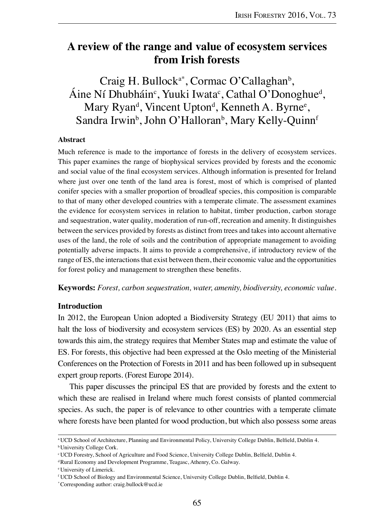# **A review of the range and value of ecosystem services from Irish forests**

Craig H. Bullock<sup>a\*</sup>, Cormac O'Callaghan<sup>b</sup>, Áine Ní Dhubháin<sup>c</sup>, Yuuki Iwata<sup>c</sup>, Cathal O'Donoghue<sup>d</sup>, Mary Ryan<sup>d</sup>, Vincent Upton<sup>d</sup>, Kenneth A. Byrne<sup>e</sup>, Sandra Irwin<sup>b</sup>, John O'Halloran<sup>b</sup>, Mary Kelly-Quinn<sup>f</sup>

#### **Abstract**

Much reference is made to the importance of forests in the delivery of ecosystem services. This paper examines the range of biophysical services provided by forests and the economic and social value of the final ecosystem services. Although information is presented for Ireland where just over one tenth of the land area is forest, most of which is comprised of planted conifer species with a smaller proportion of broadleaf species, this composition is comparable to that of many other developed countries with a temperate climate. The assessment examines the evidence for ecosystem services in relation to habitat, timber production, carbon storage and sequestration, water quality, moderation of run-off, recreation and amenity. It distinguishes between the services provided by forests as distinct from trees and takes into account alternative uses of the land, the role of soils and the contribution of appropriate management to avoiding potentially adverse impacts. It aims to provide a comprehensive, if introductory review of the range of ES, the interactions that exist between them, their economic value and the opportunities for forest policy and management to strengthen these benefits.

**Keywords:** *Forest, carbon sequestration, water, amenity, biodiversity, economic value.*

# **Introduction**

In 2012, the European Union adopted a Biodiversity Strategy (EU 2011) that aims to halt the loss of biodiversity and ecosystem services (ES) by 2020. As an essential step towards this aim, the strategy requires that Member States map and estimate the value of ES. For forests, this objective had been expressed at the Oslo meeting of the Ministerial Conferences on the Protection of Forests in 2011 and has been followed up in subsequent expert group reports. (Forest Europe 2014).

This paper discusses the principal ES that are provided by forests and the extent to which these are realised in Ireland where much forest consists of planted commercial species. As such, the paper is of relevance to other countries with a temperate climate where forests have been planted for wood production, but which also possess some areas

<sup>a</sup> UCD School of Architecture, Planning and Environmental Policy, University College Dublin, Belfield, Dublin 4.

**bUniversity College Cork.** 

<sup>c</sup> UCD Forestry, School of Agriculture and Food Science, University College Dublin, Belfield, Dublin 4.

<sup>&</sup>lt;sup>d</sup>Rural Economy and Development Programme, Teagasc, Athenry, Co. Galway.

<sup>e</sup> University of Limerick.

<sup>f</sup> UCD School of Biology and Environmental Science, University College Dublin, Belfield, Dublin 4.

<sup>\*</sup>Corresponding author: craig.bullock@ucd.ie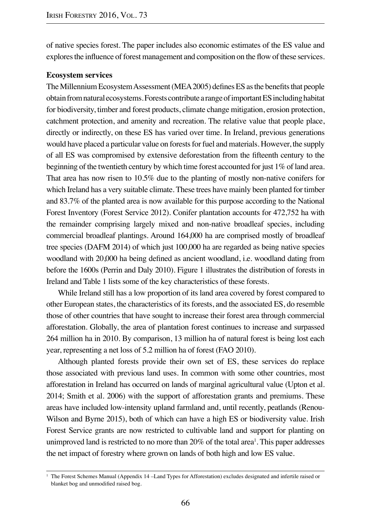of native species forest. The paper includes also economic estimates of the ES value and explores the influence of forest management and composition on the flow of these services.

# **Ecosystem services**

The Millennium Ecosystem Assessment (MEA 2005) defines ES as the benefits that people obtain from natural ecosystems. Forests contribute a range of important ES including habitat for biodiversity, timber and forest products, climate change mitigation, erosion protection, catchment protection, and amenity and recreation. The relative value that people place, directly or indirectly, on these ES has varied over time. In Ireland, previous generations would have placed a particular value on forests for fuel and materials. However, the supply of all ES was compromised by extensive deforestation from the fifteenth century to the beginning of the twentieth century by which time forest accounted for just 1% of land area. That area has now risen to 10.5% due to the planting of mostly non-native conifers for which Ireland has a very suitable climate. These trees have mainly been planted for timber and 83.7% of the planted area is now available for this purpose according to the National Forest Inventory (Forest Service 2012). Conifer plantation accounts for 472,752 ha with the remainder comprising largely mixed and non-native broadleaf species, including commercial broadleaf plantings. Around 164,000 ha are comprised mostly of broadleaf tree species (DAFM 2014) of which just 100,000 ha are regarded as being native species woodland with 20,000 ha being defined as ancient woodland, i.e. woodland dating from before the 1600s (Perrin and Daly 2010). Figure 1 illustrates the distribution of forests in Ireland and Table 1 lists some of the key characteristics of these forests.

While Ireland still has a low proportion of its land area covered by forest compared to other European states, the characteristics of its forests, and the associated ES, do resemble those of other countries that have sought to increase their forest area through commercial afforestation. Globally, the area of plantation forest continues to increase and surpassed 264 million ha in 2010. By comparison, 13 million ha of natural forest is being lost each year, representing a net loss of 5.2 million ha of forest (FAO 2010).

Although planted forests provide their own set of ES, these services do replace those associated with previous land uses. In common with some other countries, most afforestation in Ireland has occurred on lands of marginal agricultural value (Upton et al. 2014; Smith et al. 2006) with the support of afforestation grants and premiums. These areas have included low-intensity upland farmland and, until recently, peatlands (Renou-Wilson and Byrne 2015), both of which can have a high ES or biodiversity value. Irish Forest Service grants are now restricted to cultivable land and support for planting on unimproved land is restricted to no more than  $20\%$  of the total area<sup>1</sup>. This paper addresses the net impact of forestry where grown on lands of both high and low ES value.

<sup>&</sup>lt;sup>1</sup> The Forest Schemes Manual (Appendix 14 –Land Types for Afforestation) excludes designated and infertile raised or blanket bog and unmodified raised bog.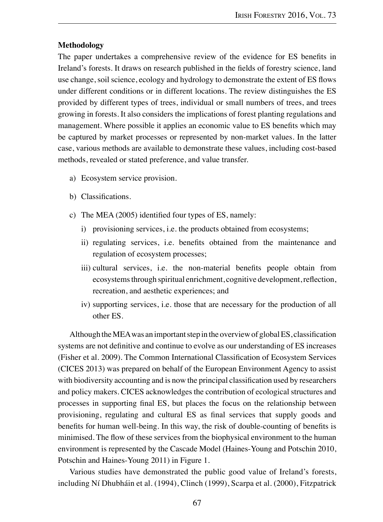# **Methodology**

The paper undertakes a comprehensive review of the evidence for ES benefits in Ireland's forests. It draws on research published in the fields of forestry science, land use change, soil science, ecology and hydrology to demonstrate the extent of ES flows under different conditions or in different locations. The review distinguishes the ES provided by different types of trees, individual or small numbers of trees, and trees growing in forests. It also considers the implications of forest planting regulations and management. Where possible it applies an economic value to ES benefits which may be captured by market processes or represented by non-market values. In the latter case, various methods are available to demonstrate these values, including cost-based methods, revealed or stated preference, and value transfer.

- a) Ecosystem service provision.
- b) Classifications.
- c) The MEA (2005) identified four types of ES, namely:
	- i) provisioning services, i.e. the products obtained from ecosystems;
	- ii) regulating services, i.e. benefits obtained from the maintenance and regulation of ecosystem processes;
	- iii) cultural services, i.e. the non-material benefits people obtain from ecosystems through spiritual enrichment, cognitive development, reflection, recreation, and aesthetic experiences; and
	- iv) supporting services, i.e. those that are necessary for the production of all other ES.

Although the MEA was an important step in the overview of global ES, classification systems are not definitive and continue to evolve as our understanding of ES increases (Fisher et al. 2009). The Common International Classification of Ecosystem Services (CICES 2013) was prepared on behalf of the European Environment Agency to assist with biodiversity accounting and is now the principal classification used by researchers and policy makers. CICES acknowledges the contribution of ecological structures and processes in supporting final ES, but places the focus on the relationship between provisioning, regulating and cultural ES as final services that supply goods and benefits for human well-being. In this way, the risk of double-counting of benefits is minimised. The flow of these services from the biophysical environment to the human environment is represented by the Cascade Model (Haines-Young and Potschin 2010, Potschin and Haines-Young 2011) in Figure 1.

Various studies have demonstrated the public good value of Ireland's forests, including Ní Dhubháin et al. (1994), Clinch (1999), Scarpa et al. (2000), Fitzpatrick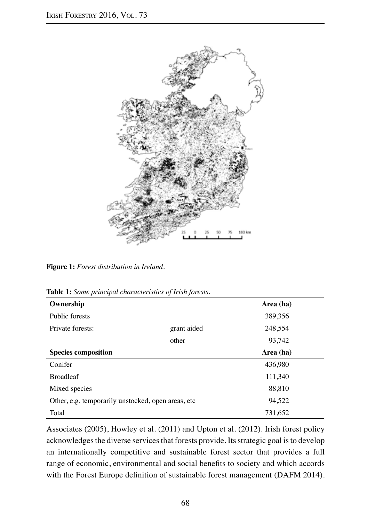

**Figure 1:** *Forest distribution in Ireland.*

**Table 1:** *Some principal characteristics of Irish forests.*

| Ownership                                           |             | Area (ha) |
|-----------------------------------------------------|-------------|-----------|
| Public forests                                      |             | 389,356   |
| Private forests:                                    | grant aided | 248,554   |
|                                                     | other       | 93,742    |
| <b>Species composition</b>                          |             | Area (ha) |
| Conifer                                             |             | 436,980   |
| <b>Broadleaf</b>                                    |             | 111,340   |
| Mixed species                                       |             | 88,810    |
| Other, e.g. temporarily unstocked, open areas, etc. |             | 94,522    |
| Total                                               |             | 731,652   |

Associates (2005), Howley et al. (2011) and Upton et al. (2012). Irish forest policy acknowledges the diverse services that forests provide. Its strategic goal is to develop an internationally competitive and sustainable forest sector that provides a full range of economic, environmental and social benefits to society and which accords with the Forest Europe definition of sustainable forest management (DAFM 2014).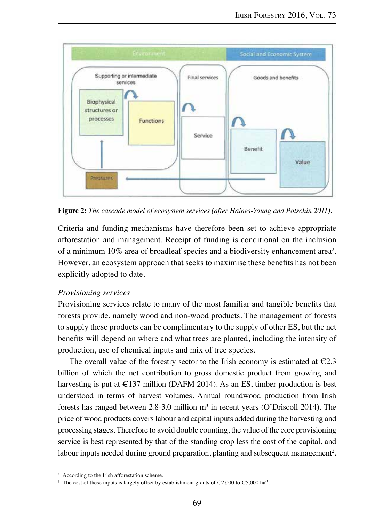

**Figure 2:** *The cascade model of ecosystem services (after Haines-Young and Potschin 2011).*

Criteria and funding mechanisms have therefore been set to achieve appropriate afforestation and management. Receipt of funding is conditional on the inclusion of a minimum 10% area of broadleaf species and a biodiversity enhancement area<sup>2</sup>. However, an ecosystem approach that seeks to maximise these benefits has not been explicitly adopted to date.

# *Provisioning services*

Provisioning services relate to many of the most familiar and tangible benefits that forests provide, namely wood and non-wood products. The management of forests to supply these products can be complimentary to the supply of other ES, but the net benefits will depend on where and what trees are planted, including the intensity of production, use of chemical inputs and mix of tree species.

The overall value of the forestry sector to the Irish economy is estimated at  $\epsilon$ 2.3 billion of which the net contribution to gross domestic product from growing and harvesting is put at  $\epsilon$ 137 million (DAFM 2014). As an ES, timber production is best understood in terms of harvest volumes. Annual roundwood production from Irish forests has ranged between  $2.8-3.0$  million  $m<sup>3</sup>$  in recent years (O'Driscoll 2014). The price of wood products covers labour and capital inputs added during the harvesting and processing stages. Therefore to avoid double counting, the value of the core provisioning service is best represented by that of the standing crop less the cost of the capital, and labour inputs needed during ground preparation, planting and subsequent management<sup>2</sup>.

<sup>2</sup> According to the Irish afforestation scheme.

<sup>&</sup>lt;sup>3</sup> The cost of these inputs is largely offset by establishment grants of  $\epsilon$ 2,000 to  $\epsilon$ 5,000 ha<sup>-1</sup>.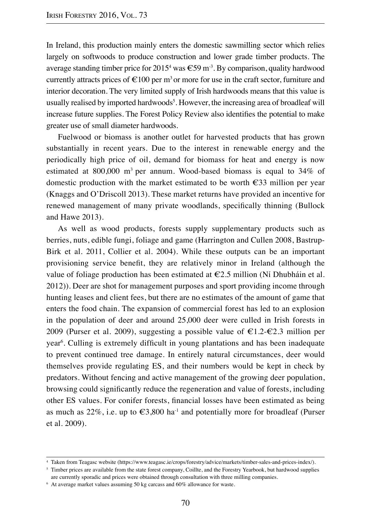In Ireland, this production mainly enters the domestic sawmilling sector which relies largely on softwoods to produce construction and lower grade timber products. The average standing timber price for  $2015^4$  was  $\text{\textsterling}59$  m<sup>3</sup>. By comparison, quality hardwood currently attracts prices of  $\epsilon$ 100 per m<sup>3</sup> or more for use in the craft sector, furniture and interior decoration. The very limited supply of Irish hardwoods means that this value is usually realised by imported hardwoods<sup>5</sup>. However, the increasing area of broadleaf will increase future supplies. The Forest Policy Review also identifies the potential to make greater use of small diameter hardwoods.

Fuelwood or biomass is another outlet for harvested products that has grown substantially in recent years. Due to the interest in renewable energy and the periodically high price of oil, demand for biomass for heat and energy is now estimated at  $800,000$  m<sup>3</sup> per annum. Wood-based biomass is equal to  $34\%$  of domestic production with the market estimated to be worth €33 million per year (Knaggs and O'Driscoll 2013). These market returns have provided an incentive for renewed management of many private woodlands, specifically thinning (Bullock and Hawe 2013).

As well as wood products, forests supply supplementary products such as berries, nuts, edible fungi, foliage and game (Harrington and Cullen 2008, Bastrup-Birk et al. 2011, Collier et al. 2004). While these outputs can be an important provisioning service benefit, they are relatively minor in Ireland (although the value of foliage production has been estimated at  $\epsilon$ 2.5 million (Ní Dhubháin et al. 2012)). Deer are shot for management purposes and sport providing income through hunting leases and client fees, but there are no estimates of the amount of game that enters the food chain. The expansion of commercial forest has led to an explosion in the population of deer and around 25,000 deer were culled in Irish forests in 2009 (Purser et al. 2009), suggesting a possible value of  $\epsilon 1.2-\epsilon 2.3$  million per year<sup>6</sup>. Culling is extremely difficult in young plantations and has been inadequate to prevent continued tree damage. In entirely natural circumstances, deer would themselves provide regulating ES, and their numbers would be kept in check by predators. Without fencing and active management of the growing deer population, browsing could significantly reduce the regeneration and value of forests, including other ES values. For conifer forests, financial losses have been estimated as being as much as  $22\%$ , i.e. up to  $\epsilon 3,800$  ha<sup>-1</sup> and potentially more for broadleaf (Purser et al. 2009).

<sup>4</sup> Taken from Teagasc website (https://www.teagasc.ie/crops/forestry/advice/markets/timber-sales-and-prices-index/).

<sup>&</sup>lt;sup>5</sup> Timber prices are available from the state forest company, Coillte, and the Forestry Yearbook, but hardwood supplies are currently sporadic and prices were obtained through consultation with three milling companies.

 $6$  At average market values assuming 50 kg carcass and 60% allowance for waste.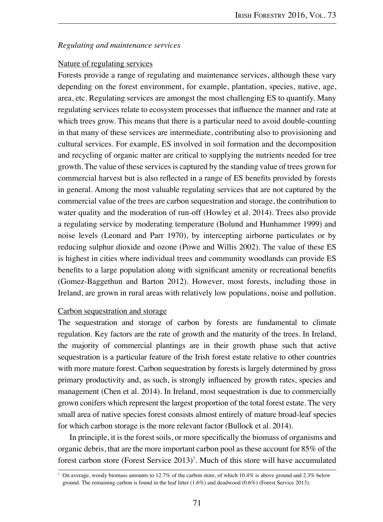# *Regulating and maintenance services*

# Nature of regulating services

Forests provide a range of regulating and maintenance services, although these vary depending on the forest environment, for example, plantation, species, native, age, area, etc. Regulating services are amongst the most challenging ES to quantify. Many regulating services relate to ecosystem processes that influence the manner and rate at which trees grow. This means that there is a particular need to avoid double-counting in that many of these services are intermediate, contributing also to provisioning and cultural services. For example, ES involved in soil formation and the decomposition and recycling of organic matter are critical to supplying the nutrients needed for tree growth. The value of these services is captured by the standing value of trees grown for commercial harvest but is also reflected in a range of ES benefits provided by forests in general. Among the most valuable regulating services that are not captured by the commercial value of the trees are carbon sequestration and storage, the contribution to water quality and the moderation of run-off (Howley et al. 2014). Trees also provide a regulating service by moderating temperature (Bolund and Hunhammer 1999) and noise levels (Leonard and Parr 1970), by intercepting airborne particulates or by reducing sulphur dioxide and ozone (Powe and Willis 2002). The value of these ES is highest in cities where individual trees and community woodlands can provide ES benefits to a large population along with significant amenity or recreational benefits (Gomez-Baggethun and Barton 2012). However, most forests, including those in Ireland, are grown in rural areas with relatively low populations, noise and pollution.

# Carbon sequestration and storage

The sequestration and storage of carbon by forests are fundamental to climate regulation. Key factors are the rate of growth and the maturity of the trees. In Ireland, the majority of commercial plantings are in their growth phase such that active sequestration is a particular feature of the Irish forest estate relative to other countries with more mature forest. Carbon sequestration by forests is largely determined by gross primary productivity and, as such, is strongly influenced by growth rates, species and management (Chen et al. 2014). In Ireland, most sequestration is due to commercially grown conifers which represent the largest proportion of the total forest estate. The very small area of native species forest consists almost entirely of mature broad-leaf species for which carbon storage is the more relevant factor (Bullock et al. 2014).

In principle, it is the forest soils, or more specifically the biomass of organisms and organic debris, that are the more important carbon pool as these account for 85% of the forest carbon store (Forest Service 2013)7 . Much of this store will have accumulated

<sup>7</sup> On average, woody biomass amounts to 12.7% of the carbon store, of which 10.4% is above ground and 2.3% below ground. The remaining carbon is found in the leaf litter (1.6%) and deadwood (0.6%) (Forest Service 2013).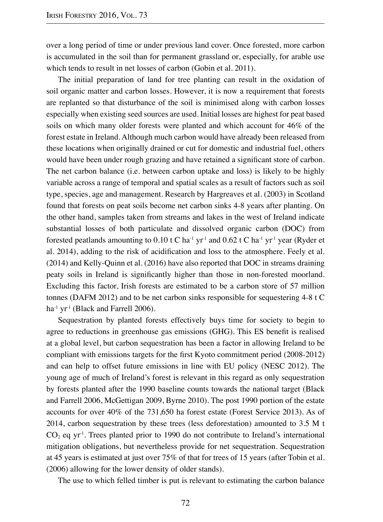over a long period of time or under previous land cover. Once forested, more carbon is accumulated in the soil than for permanent grassland or, especially, for arable use which tends to result in net losses of carbon (Gobin et al. 2011).

The initial preparation of land for tree planting can result in the oxidation of soil organic matter and carbon losses. However, it is now a requirement that forests are replanted so that disturbance of the soil is minimised along with carbon losses especially when existing seed sources are used. Initial losses are highest for peat based soils on which many older forests were planted and which account for 46% of the forest estate in Ireland. Although much carbon would have already been released from these locations when originally drained or cut for domestic and industrial fuel, others would have been under rough grazing and have retained a significant store of carbon. The net carbon balance (i.e. between carbon uptake and loss) is likely to be highly variable across a range of temporal and spatial scales as a result of factors such as soil type, species, age and management. Research by Hargreaves et al. (2003) in Scotland found that forests on peat soils become net carbon sinks 4-8 years after planting. On the other hand, samples taken from streams and lakes in the west of Ireland indicate substantial losses of both particulate and dissolved organic carbon (DOC) from forested peatlands amounting to 0.10 t C ha<sup>-1</sup> yr<sup>-1</sup> and 0.62 t C ha<sup>-1</sup> yr<sup>-1</sup> year (Ryder et al. 2014), adding to the risk of acidification and loss to the atmosphere. Feely et al. (2014) and Kelly-Quinn et al. (2016) have also reported that DOC in streams draining peaty soils in Ireland is significantly higher than those in non-forested moorland. Excluding this factor, Irish forests are estimated to be a carbon store of 57 million tonnes (DAFM 2012) and to be net carbon sinks responsible for sequestering 4-8 t C ha<sup>-1</sup> yr<sup>-1</sup> (Black and Farrell 2006).

Sequestration by planted forests effectively buys time for society to begin to agree to reductions in greenhouse gas emissions (GHG). This ES benefit is realised at a global level, but carbon sequestration has been a factor in allowing Ireland to be compliant with emissions targets for the first Kyoto commitment period (2008-2012) and can help to offset future emissions in line with EU policy (NESC 2012). The young age of much of Ireland's forest is relevant in this regard as only sequestration by forests planted after the 1990 baseline counts towards the national target (Black and Farrell 2006, McGettigan 2009, Byrne 2010). The post 1990 portion of the estate accounts for over 40% of the 731,650 ha forest estate (Forest Service 2013). As of 2014, carbon sequestration by these trees (less deforestation) amounted to 3.5 M t  $CO<sub>2</sub>$  eq yr<sup>1</sup>. Trees planted prior to 1990 do not contribute to Ireland's international mitigation obligations, but nevertheless provide for net sequestration. Sequestration at 45 years is estimated at just over 75% of that for trees of 15 years (after Tobin et al. (2006) allowing for the lower density of older stands).

The use to which felled timber is put is relevant to estimating the carbon balance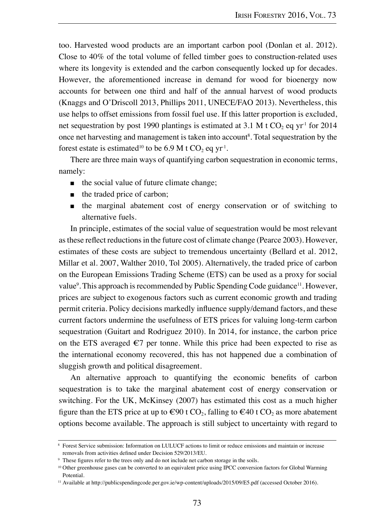too. Harvested wood products are an important carbon pool (Donlan et al. 2012). Close to 40% of the total volume of felled timber goes to construction-related uses where its longevity is extended and the carbon consequently locked up for decades. However, the aforementioned increase in demand for wood for bioenergy now accounts for between one third and half of the annual harvest of wood products (Knaggs and O'Driscoll 2013, Phillips 2011, UNECE/FAO 2013). Nevertheless, this use helps to offset emissions from fossil fuel use. If this latter proportion is excluded, net sequestration by post 1990 plantings is estimated at 3.1 M t CO<sub>2</sub> eq yr<sup>1</sup> for 2014 once net harvesting and management is taken into account<sup>8</sup>. Total sequestration by the forest estate is estimated<sup>10</sup> to be 6.9 M t CO<sub>2</sub> eq yr<sup>1</sup>.

There are three main ways of quantifying carbon sequestration in economic terms, namely:

- the social value of future climate change;
- the traded price of carbon;
- the marginal abatement cost of energy conservation or of switching to alternative fuels.

In principle, estimates of the social value of sequestration would be most relevant as these reflect reductions in the future cost of climate change (Pearce 2003). However, estimates of these costs are subject to tremendous uncertainty (Bellard et al. 2012, Millar et al. 2007, Walther 2010, Tol 2005). Alternatively, the traded price of carbon on the European Emissions Trading Scheme (ETS) can be used as a proxy for social value<sup>9</sup>. This approach is recommended by Public Spending Code guidance<sup>11</sup>. However, prices are subject to exogenous factors such as current economic growth and trading permit criteria. Policy decisions markedly influence supply/demand factors, and these current factors undermine the usefulness of ETS prices for valuing long-term carbon sequestration (Guitart and Rodriguez 2010). In 2014, for instance, the carbon price on the ETS averaged  $\epsilon$ 7 per tonne. While this price had been expected to rise as the international economy recovered, this has not happened due a combination of sluggish growth and political disagreement.

An alternative approach to quantifying the economic benefits of carbon sequestration is to take the marginal abatement cost of energy conservation or switching. For the UK, McKinsey (2007) has estimated this cost as a much higher figure than the ETS price at up to  $\epsilon \neq 90$  t CO<sub>2</sub>, falling to  $\epsilon \neq 40$  t CO<sub>2</sub> as more abatement options become available. The approach is still subject to uncertainty with regard to

<sup>8</sup> Forest Service submission: Information on LULUCF actions to limit or reduce emissions and maintain or increase removals from activities defined under Decision 529/2013/EU.

<sup>9</sup> These figures refer to the trees only and do not include net carbon storage in the soils.

<sup>&</sup>lt;sup>10</sup> Other greenhouse gases can be converted to an equivalent price using IPCC conversion factors for Global Warming Potential.

<sup>11</sup> Available at http://publicspendingcode.per.gov.ie/wp-content/uploads/2015/09/E5.pdf (accessed October 2016).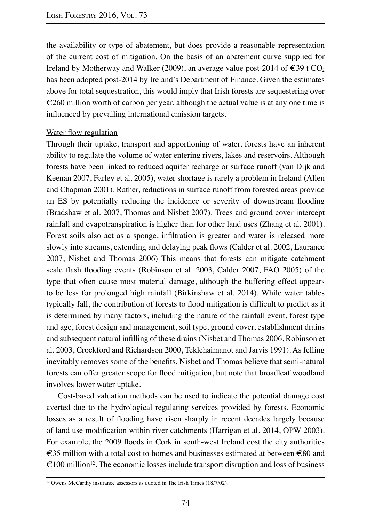the availability or type of abatement, but does provide a reasonable representation of the current cost of mitigation. On the basis of an abatement curve supplied for Ireland by Motherway and Walker (2009), an average value post-2014 of  $\epsilon$ 39 t CO<sub>2</sub> has been adopted post-2014 by Ireland's Department of Finance. Given the estimates above for total sequestration, this would imply that Irish forests are sequestering over  $\epsilon$ 260 million worth of carbon per year, although the actual value is at any one time is influenced by prevailing international emission targets.

# Water flow regulation

Through their uptake, transport and apportioning of water, forests have an inherent ability to regulate the volume of water entering rivers, lakes and reservoirs. Although forests have been linked to reduced aquifer recharge or surface runoff (van Dijk and Keenan 2007, Farley et al. 2005), water shortage is rarely a problem in Ireland (Allen and Chapman 2001). Rather, reductions in surface runoff from forested areas provide an ES by potentially reducing the incidence or severity of downstream flooding (Bradshaw et al. 2007, Thomas and Nisbet 2007). Trees and ground cover intercept rainfall and evapotranspiration is higher than for other land uses (Zhang et al. 2001). Forest soils also act as a sponge, infiltration is greater and water is released more slowly into streams, extending and delaying peak flows (Calder et al. 2002, Laurance 2007, Nisbet and Thomas 2006) This means that forests can mitigate catchment scale flash flooding events (Robinson et al. 2003, Calder 2007, FAO 2005) of the type that often cause most material damage, although the buffering effect appears to be less for prolonged high rainfall (Birkinshaw et al. 2014). While water tables typically fall, the contribution of forests to flood mitigation is difficult to predict as it is determined by many factors, including the nature of the rainfall event, forest type and age, forest design and management, soil type, ground cover, establishment drains and subsequent natural infilling of these drains (Nisbet and Thomas 2006, Robinson et al. 2003, Crockford and Richardson 2000, Teklehaimanot and Jarvis 1991). As felling inevitably removes some of the benefits, Nisbet and Thomas believe that semi-natural forests can offer greater scope for flood mitigation, but note that broadleaf woodland involves lower water uptake.

Cost-based valuation methods can be used to indicate the potential damage cost averted due to the hydrological regulating services provided by forests. Economic losses as a result of flooding have risen sharply in recent decades largely because of land use modification within river catchments (Harrigan et al. 2014, OPW 2003). For example, the 2009 floods in Cork in south-west Ireland cost the city authorities €35 million with a total cost to homes and businesses estimated at between €80 and  $\epsilon$ 100 million<sup>12</sup>. The economic losses include transport disruption and loss of business

<sup>&</sup>lt;sup>12</sup> Owens McCarthy insurance assessors as quoted in The Irish Times (18/7/02).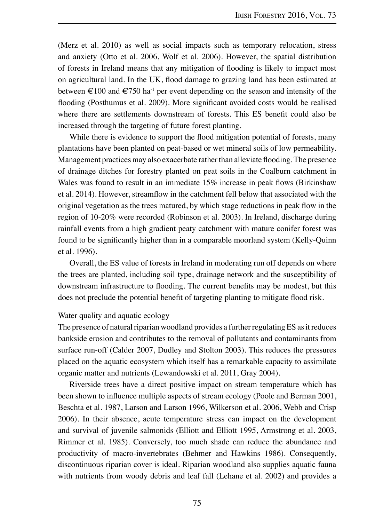(Merz et al. 2010) as well as social impacts such as temporary relocation, stress and anxiety (Otto et al. 2006, Wolf et al. 2006). However, the spatial distribution of forests in Ireland means that any mitigation of flooding is likely to impact most on agricultural land. In the UK, flood damage to grazing land has been estimated at between  $\epsilon$ 100 and  $\epsilon$ 750 ha<sup>-1</sup> per event depending on the season and intensity of the flooding (Posthumus et al. 2009). More significant avoided costs would be realised where there are settlements downstream of forests. This ES benefit could also be increased through the targeting of future forest planting.

While there is evidence to support the flood mitigation potential of forests, many plantations have been planted on peat-based or wet mineral soils of low permeability. Management practices may also exacerbate rather than alleviate flooding. The presence of drainage ditches for forestry planted on peat soils in the Coalburn catchment in Wales was found to result in an immediate 15% increase in peak flows (Birkinshaw et al. 2014). However, streamflow in the catchment fell below that associated with the original vegetation as the trees matured, by which stage reductions in peak flow in the region of 10-20% were recorded (Robinson et al. 2003). In Ireland, discharge during rainfall events from a high gradient peaty catchment with mature conifer forest was found to be significantly higher than in a comparable moorland system (Kelly-Quinn et al. 1996).

Overall, the ES value of forests in Ireland in moderating run off depends on where the trees are planted, including soil type, drainage network and the susceptibility of downstream infrastructure to flooding. The current benefits may be modest, but this does not preclude the potential benefit of targeting planting to mitigate flood risk.

# Water quality and aquatic ecology

The presence of natural riparian woodland provides a further regulating ES as it reduces bankside erosion and contributes to the removal of pollutants and contaminants from surface run-off (Calder 2007, Dudley and Stolton 2003). This reduces the pressures placed on the aquatic ecosystem which itself has a remarkable capacity to assimilate organic matter and nutrients (Lewandowski et al. 2011, Gray 2004).

Riverside trees have a direct positive impact on stream temperature which has been shown to influence multiple aspects of stream ecology (Poole and Berman 2001, Beschta et al. 1987, Larson and Larson 1996, Wilkerson et al. 2006, Webb and Crisp 2006). In their absence, acute temperature stress can impact on the development and survival of juvenile salmonids (Elliott and Elliott 1995, Armstrong et al. 2003, Rimmer et al. 1985). Conversely, too much shade can reduce the abundance and productivity of macro-invertebrates (Behmer and Hawkins 1986). Consequently, discontinuous riparian cover is ideal. Riparian woodland also supplies aquatic fauna with nutrients from woody debris and leaf fall (Lehane et al. 2002) and provides a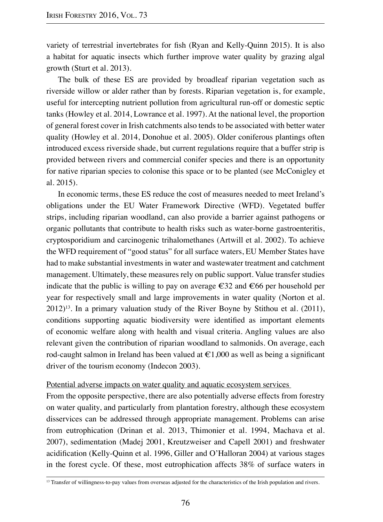variety of terrestrial invertebrates for fish (Ryan and Kelly-Quinn 2015). It is also a habitat for aquatic insects which further improve water quality by grazing algal growth (Sturt et al. 2013).

The bulk of these ES are provided by broadleaf riparian vegetation such as riverside willow or alder rather than by forests. Riparian vegetation is, for example, useful for intercepting nutrient pollution from agricultural run-off or domestic septic tanks (Howley et al. 2014, Lowrance et al. 1997). At the national level, the proportion of general forest cover in Irish catchments also tends to be associated with better water quality (Howley et al. 2014, Donohue et al. 2005). Older coniferous plantings often introduced excess riverside shade, but current regulations require that a buffer strip is provided between rivers and commercial conifer species and there is an opportunity for native riparian species to colonise this space or to be planted (see McConigley et al. 2015).

In economic terms, these ES reduce the cost of measures needed to meet Ireland's obligations under the EU Water Framework Directive (WFD). Vegetated buffer strips, including riparian woodland, can also provide a barrier against pathogens or organic pollutants that contribute to health risks such as water-borne gastroenteritis, cryptosporidium and carcinogenic trihalomethanes (Artwill et al. 2002). To achieve the WFD requirement of "good status" for all surface waters, EU Member States have had to make substantial investments in water and wastewater treatment and catchment management. Ultimately, these measures rely on public support. Value transfer studies indicate that the public is willing to pay on average  $\epsilon$ 32 and  $\epsilon$ 66 per household per year for respectively small and large improvements in water quality (Norton et al.  $2012$ <sup>13</sup>. In a primary valuation study of the River Boyne by Stithou et al. (2011), conditions supporting aquatic biodiversity were identified as important elements of economic welfare along with health and visual criteria. Angling values are also relevant given the contribution of riparian woodland to salmonids. On average, each rod-caught salmon in Ireland has been valued at  $\epsilon$ 1,000 as well as being a significant driver of the tourism economy (Indecon 2003).

# Potential adverse impacts on water quality and aquatic ecosystem services

From the opposite perspective, there are also potentially adverse effects from forestry on water quality, and particularly from plantation forestry, although these ecosystem disservices can be addressed through appropriate management. Problems can arise from eutrophication (Drinan et al. 2013, Thimonier et al. 1994, Machava et al. 2007), sedimentation (Madej 2001, Kreutzweiser and Capell 2001) and freshwater acidification (Kelly-Quinn et al. 1996, Giller and O'Halloran 2004) at various stages in the forest cycle. Of these, most eutrophication affects 38% of surface waters in

<sup>&</sup>lt;sup>13</sup> Transfer of willingness-to-pay values from overseas adjusted for the characteristics of the Irish population and rivers.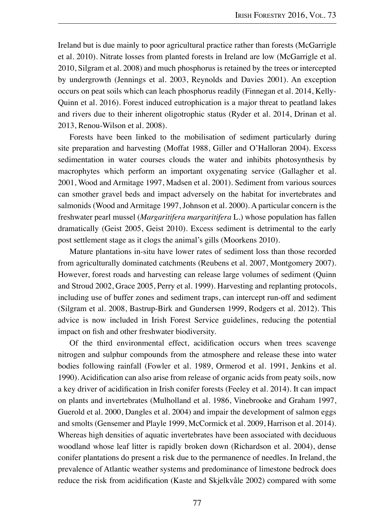Ireland but is due mainly to poor agricultural practice rather than forests (McGarrigle et al. 2010). Nitrate losses from planted forests in Ireland are low (McGarrigle et al. 2010, Silgram et al. 2008) and much phosphorus is retained by the trees or intercepted by undergrowth (Jennings et al. 2003, Reynolds and Davies 2001). An exception occurs on peat soils which can leach phosphorus readily (Finnegan et al. 2014, Kelly-Quinn et al. 2016). Forest induced eutrophication is a major threat to peatland lakes and rivers due to their inherent oligotrophic status (Ryder et al. 2014, Drinan et al. 2013, Renou-Wilson et al. 2008).

Forests have been linked to the mobilisation of sediment particularly during site preparation and harvesting (Moffat 1988, Giller and O'Halloran 2004). Excess sedimentation in water courses clouds the water and inhibits photosynthesis by macrophytes which perform an important oxygenating service (Gallagher et al. 2001, Wood and Armitage 1997, Madsen et al. 2001). Sediment from various sources can smother gravel beds and impact adversely on the habitat for invertebrates and salmonids (Wood and Armitage 1997, Johnson et al. 2000). A particular concern is the freshwater pearl mussel (*Margaritifera margaritifera* L.) whose population has fallen dramatically (Geist 2005, Geist 2010). Excess sediment is detrimental to the early post settlement stage as it clogs the animal's gills (Moorkens 2010).

Mature plantations in-situ have lower rates of sediment loss than those recorded from agriculturally dominated catchments (Reubens et al. 2007, Montgomery 2007). However, forest roads and harvesting can release large volumes of sediment (Quinn and Stroud 2002, Grace 2005, Perry et al. 1999). Harvesting and replanting protocols, including use of buffer zones and sediment traps, can intercept run-off and sediment (Silgram et al. 2008, Bastrup-Birk and Gundersen 1999, Rodgers et al. 2012). This advice is now included in Irish Forest Service guidelines, reducing the potential impact on fish and other freshwater biodiversity.

Of the third environmental effect, acidification occurs when trees scavenge nitrogen and sulphur compounds from the atmosphere and release these into water bodies following rainfall (Fowler et al. 1989, Ormerod et al. 1991, Jenkins et al. 1990). Acidification can also arise from release of organic acids from peaty soils, now a key driver of acidification in Irish conifer forests (Feeley et al. 2014). It can impact on plants and invertebrates (Mulholland et al. 1986, Vinebrooke and Graham 1997, Guerold et al. 2000, Dangles et al. 2004) and impair the development of salmon eggs and smolts (Gensemer and Playle 1999, McCormick et al. 2009, Harrison et al. 2014). Whereas high densities of aquatic invertebrates have been associated with deciduous woodland whose leaf litter is rapidly broken down (Richardson et al. 2004), dense conifer plantations do present a risk due to the permanence of needles. In Ireland, the prevalence of Atlantic weather systems and predominance of limestone bedrock does reduce the risk from acidification (Kaste and Skjelkvåle 2002) compared with some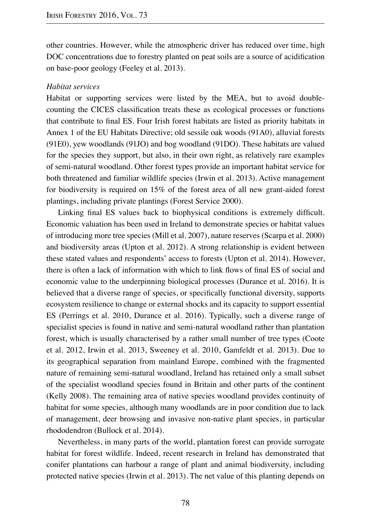other countries. However, while the atmospheric driver has reduced over time, high DOC concentrations due to forestry planted on peat soils are a source of acidification on base-poor geology (Feeley et al. 2013).

## *Habitat services*

Habitat or supporting services were listed by the MEA, but to avoid doublecounting the CICES classification treats these as ecological processes or functions that contribute to final ES. Four Irish forest habitats are listed as priority habitats in Annex 1 of the EU Habitats Directive; old sessile oak woods (91A0), alluvial forests (91E0), yew woodlands (91JO) and bog woodland (91DO). These habitats are valued for the species they support, but also, in their own right, as relatively rare examples of semi-natural woodland. Other forest types provide an important habitat service for both threatened and familiar wildlife species (Irwin et al. 2013). Active management for biodiversity is required on 15% of the forest area of all new grant-aided forest plantings, including private plantings (Forest Service 2000).

Linking final ES values back to biophysical conditions is extremely difficult. Economic valuation has been used in Ireland to demonstrate species or habitat values of introducing more tree species (Mill et al. 2007), nature reserves (Scarpa et al. 2000) and biodiversity areas (Upton et al. 2012). A strong relationship is evident between these stated values and respondents' access to forests (Upton et al. 2014). However, there is often a lack of information with which to link flows of final ES of social and economic value to the underpinning biological processes (Durance et al. 2016). It is believed that a diverse range of species, or specifically functional diversity, supports ecosystem resilience to change or external shocks and its capacity to support essential ES (Perrings et al. 2010, Durance et al. 2016). Typically, such a diverse range of specialist species is found in native and semi-natural woodland rather than plantation forest, which is usually characterised by a rather small number of tree types (Coote et al. 2012, Irwin et al. 2013, Sweeney et al. 2010, Gamfeldt et al. 2013). Due to its geographical separation from mainland Europe, combined with the fragmented nature of remaining semi-natural woodland, Ireland has retained only a small subset of the specialist woodland species found in Britain and other parts of the continent (Kelly 2008). The remaining area of native species woodland provides continuity of habitat for some species, although many woodlands are in poor condition due to lack of management, deer browsing and invasive non-native plant species, in particular rhododendron (Bullock et al. 2014).

Nevertheless, in many parts of the world, plantation forest can provide surrogate habitat for forest wildlife. Indeed, recent research in Ireland has demonstrated that conifer plantations can harbour a range of plant and animal biodiversity, including protected native species (Irwin et al. 2013). The net value of this planting depends on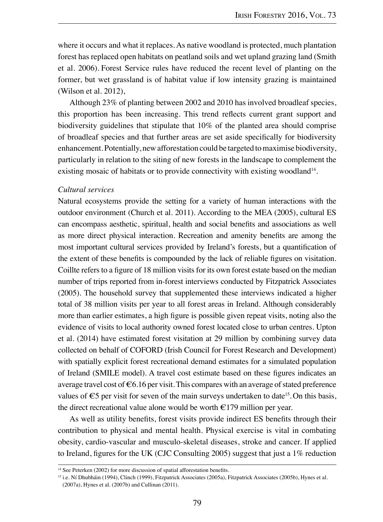where it occurs and what it replaces. As native woodland is protected, much plantation forest has replaced open habitats on peatland soils and wet upland grazing land (Smith et al. 2006). Forest Service rules have reduced the recent level of planting on the former, but wet grassland is of habitat value if low intensity grazing is maintained (Wilson et al. 2012),

Although 23% of planting between 2002 and 2010 has involved broadleaf species, this proportion has been increasing. This trend reflects current grant support and biodiversity guidelines that stipulate that 10% of the planted area should comprise of broadleaf species and that further areas are set aside specifically for biodiversity enhancement. Potentially, new afforestation could be targeted to maximise biodiversity, particularly in relation to the siting of new forests in the landscape to complement the existing mosaic of habitats or to provide connectivity with existing woodland<sup>14</sup>.

#### *Cultural services*

Natural ecosystems provide the setting for a variety of human interactions with the outdoor environment (Church et al. 2011). According to the MEA (2005), cultural ES can encompass aesthetic, spiritual, health and social benefits and associations as well as more direct physical interaction. Recreation and amenity benefits are among the most important cultural services provided by Ireland's forests, but a quantification of the extent of these benefits is compounded by the lack of reliable figures on visitation. Coillte refers to a figure of 18 million visits for its own forest estate based on the median number of trips reported from in-forest interviews conducted by Fitzpatrick Associates (2005). The household survey that supplemented these interviews indicated a higher total of 38 million visits per year to all forest areas in Ireland. Although considerably more than earlier estimates, a high figure is possible given repeat visits, noting also the evidence of visits to local authority owned forest located close to urban centres. Upton et al. (2014) have estimated forest visitation at 29 million by combining survey data collected on behalf of COFORD (Irish Council for Forest Research and Development) with spatially explicit forest recreational demand estimates for a simulated population of Ireland (SMILE model). A travel cost estimate based on these figures indicates an average travel cost of  $\epsilon$ 6.16 per visit. This compares with an average of stated preference values of  $\epsilon$ 5 per visit for seven of the main surveys undertaken to date<sup>15</sup>. On this basis, the direct recreational value alone would be worth  $\epsilon$ 179 million per year.

As well as utility benefits, forest visits provide indirect ES benefits through their contribution to physical and mental health. Physical exercise is vital in combating obesity, cardio-vascular and musculo-skeletal diseases, stroke and cancer. If applied to Ireland, figures for the UK (CJC Consulting 2005) suggest that just a 1% reduction

<sup>&</sup>lt;sup>14</sup> See Peterken (2002) for more discussion of spatial afforestation benefits.

<sup>15</sup> i.e. Ní Dhubháin (1994), Clinch (1999), Fitzpatrick Associates (2005a), Fitzpatrick Associates (2005b), Hynes et al. (2007a), Hynes et al. (2007b) and Cullinan (2011).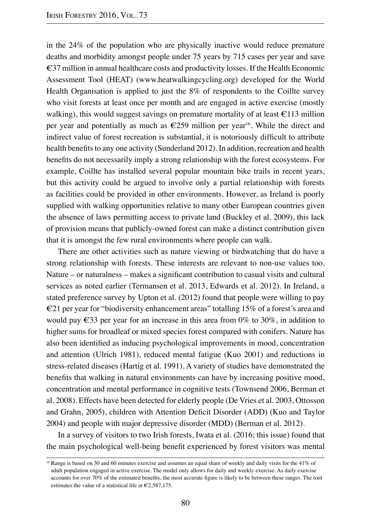in the 24% of the population who are physically inactive would reduce premature deaths and morbidity amongst people under 75 years by 715 cases per year and save €37 million in annual healthcare costs and productivity losses. If the Health Economic Assessment Tool (HEAT) (www.heatwalkingcycling.org) developed for the World Health Organisation is applied to just the 8% of respondents to the Coillte survey who visit forests at least once per month and are engaged in active exercise (mostly walking), this would suggest savings on premature mortality of at least  $\epsilon$ 113 million per year and potentially as much as  $\epsilon$ 259 million per year<sup>16</sup>. While the direct and indirect value of forest recreation is substantial, it is notoriously difficult to attribute health benefits to any one activity (Sunderland 2012). In addition, recreation and health benefits do not necessarily imply a strong relationship with the forest ecosystems. For example, Coillte has installed several popular mountain bike trails in recent years, but this activity could be argued to involve only a partial relationship with forests as facilities could be provided in other environments. However, as Ireland is poorly supplied with walking opportunities relative to many other European countries given the absence of laws permitting access to private land (Buckley et al. 2009), this lack of provision means that publicly-owned forest can make a distinct contribution given that it is amongst the few rural environments where people can walk.

There are other activities such as nature viewing or birdwatching that do have a strong relationship with forests. These interests are relevant to non-use values too. Nature – or naturalness – makes a significant contribution to casual visits and cultural services as noted earlier (Termansen et al. 2013, Edwards et al. 2012). In Ireland, a stated preference survey by Upton et al. (2012) found that people were willing to pay  $\epsilon$ 21 per year for "biodiversity enhancement areas" totalling 15% of a forest's area and would pay  $\epsilon$ 33 per year for an increase in this area from 0% to 30%, in addition to higher sums for broadleaf or mixed species forest compared with conifers. Nature has also been identified as inducing psychological improvements in mood, concentration and attention (Ulrich 1981), reduced mental fatigue (Kuo 2001) and reductions in stress-related diseases (Hartig et al. 1991). A variety of studies have demonstrated the benefits that walking in natural environments can have by increasing positive mood, concentration and mental performance in cognitive tests (Townsend 2006, Berman et al. 2008). Effects have been detected for elderly people (De Vries et al. 2003, Ottosson and Grahn, 2005), children with Attention Deficit Disorder (ADD) (Kuo and Taylor 2004) and people with major depressive disorder (MDD) (Berman et al. 2012).

In a survey of visitors to two Irish forests, Iwata et al. (2016; this issue) found that the main psychological well-being benefit experienced by forest visitors was mental

<sup>&</sup>lt;sup>16</sup> Range is based on 30 and 60 minutes exercise and assumes an equal share of weekly and daily visits for the 41% of adult population engaged in active exercise. The model only allows for daily and weekly exercise. As daily exercise accounts for over 70% of the estimated benefits, the most accurate figure is likely to be between these ranges. The tool estimates the value of a statistical life at  $\epsilon$ 2,587,175.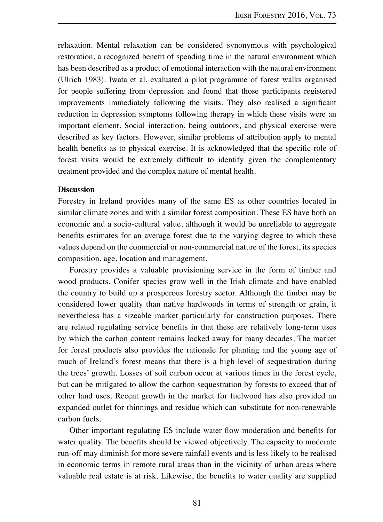relaxation. Mental relaxation can be considered synonymous with psychological restoration, a recognized benefit of spending time in the natural environment which has been described as a product of emotional interaction with the natural environment (Ulrich 1983). Iwata et al. evaluated a pilot programme of forest walks organised for people suffering from depression and found that those participants registered improvements immediately following the visits. They also realised a significant reduction in depression symptoms following therapy in which these visits were an important element. Social interaction, being outdoors, and physical exercise were described as key factors. However, similar problems of attribution apply to mental health benefits as to physical exercise. It is acknowledged that the specific role of forest visits would be extremely difficult to identify given the complementary treatment provided and the complex nature of mental health.

## **Discussion**

Forestry in Ireland provides many of the same ES as other countries located in similar climate zones and with a similar forest composition. These ES have both an economic and a socio-cultural value, although it would be unreliable to aggregate benefits estimates for an average forest due to the varying degree to which these values depend on the commercial or non-commercial nature of the forest, its species composition, age, location and management.

Forestry provides a valuable provisioning service in the form of timber and wood products. Conifer species grow well in the Irish climate and have enabled the country to build up a prosperous forestry sector. Although the timber may be considered lower quality than native hardwoods in terms of strength or grain, it nevertheless has a sizeable market particularly for construction purposes. There are related regulating service benefits in that these are relatively long-term uses by which the carbon content remains locked away for many decades. The market for forest products also provides the rationale for planting and the young age of much of Ireland's forest means that there is a high level of sequestration during the trees' growth. Losses of soil carbon occur at various times in the forest cycle, but can be mitigated to allow the carbon sequestration by forests to exceed that of other land uses. Recent growth in the market for fuelwood has also provided an expanded outlet for thinnings and residue which can substitute for non-renewable carbon fuels.

Other important regulating ES include water flow moderation and benefits for water quality. The benefits should be viewed objectively. The capacity to moderate run-off may diminish for more severe rainfall events and is less likely to be realised in economic terms in remote rural areas than in the vicinity of urban areas where valuable real estate is at risk. Likewise, the benefits to water quality are supplied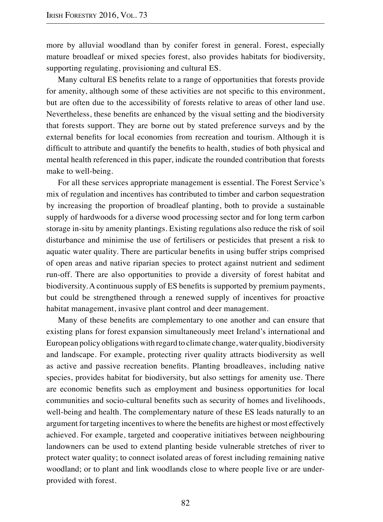more by alluvial woodland than by conifer forest in general. Forest, especially mature broadleaf or mixed species forest, also provides habitats for biodiversity, supporting regulating, provisioning and cultural ES.

Many cultural ES benefits relate to a range of opportunities that forests provide for amenity, although some of these activities are not specific to this environment, but are often due to the accessibility of forests relative to areas of other land use. Nevertheless, these benefits are enhanced by the visual setting and the biodiversity that forests support. They are borne out by stated preference surveys and by the external benefits for local economies from recreation and tourism. Although it is difficult to attribute and quantify the benefits to health, studies of both physical and mental health referenced in this paper, indicate the rounded contribution that forests make to well-being.

For all these services appropriate management is essential. The Forest Service's mix of regulation and incentives has contributed to timber and carbon sequestration by increasing the proportion of broadleaf planting, both to provide a sustainable supply of hardwoods for a diverse wood processing sector and for long term carbon storage in-situ by amenity plantings. Existing regulations also reduce the risk of soil disturbance and minimise the use of fertilisers or pesticides that present a risk to aquatic water quality. There are particular benefits in using buffer strips comprised of open areas and native riparian species to protect against nutrient and sediment run-off. There are also opportunities to provide a diversity of forest habitat and biodiversity. A continuous supply of ES benefits is supported by premium payments, but could be strengthened through a renewed supply of incentives for proactive habitat management, invasive plant control and deer management.

Many of these benefits are complementary to one another and can ensure that existing plans for forest expansion simultaneously meet Ireland's international and European policy obligations with regard to climate change, water quality, biodiversity and landscape. For example, protecting river quality attracts biodiversity as well as active and passive recreation benefits. Planting broadleaves, including native species, provides habitat for biodiversity, but also settings for amenity use. There are economic benefits such as employment and business opportunities for local communities and socio-cultural benefits such as security of homes and livelihoods, well-being and health. The complementary nature of these ES leads naturally to an argument for targeting incentives to where the benefits are highest or most effectively achieved. For example, targeted and cooperative initiatives between neighbouring landowners can be used to extend planting beside vulnerable stretches of river to protect water quality; to connect isolated areas of forest including remaining native woodland; or to plant and link woodlands close to where people live or are underprovided with forest.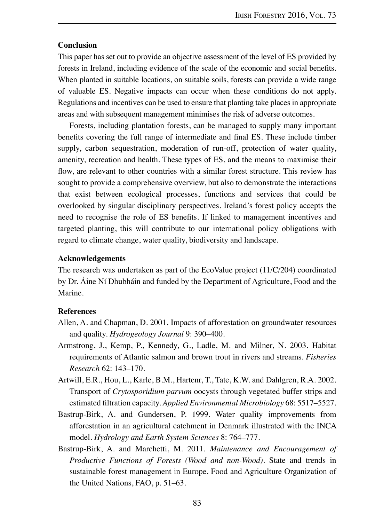## **Conclusion**

This paper has set out to provide an objective assessment of the level of ES provided by forests in Ireland, including evidence of the scale of the economic and social benefits. When planted in suitable locations, on suitable soils, forests can provide a wide range of valuable ES. Negative impacts can occur when these conditions do not apply. Regulations and incentives can be used to ensure that planting take places in appropriate areas and with subsequent management minimises the risk of adverse outcomes.

Forests, including plantation forests, can be managed to supply many important benefits covering the full range of intermediate and final ES. These include timber supply, carbon sequestration, moderation of run-off, protection of water quality, amenity, recreation and health. These types of ES, and the means to maximise their flow, are relevant to other countries with a similar forest structure. This review has sought to provide a comprehensive overview, but also to demonstrate the interactions that exist between ecological processes, functions and services that could be overlooked by singular disciplinary perspectives. Ireland's forest policy accepts the need to recognise the role of ES benefits. If linked to management incentives and targeted planting, this will contribute to our international policy obligations with regard to climate change, water quality, biodiversity and landscape.

# **Acknowledgements**

The research was undertaken as part of the EcoValue project (11/C/204) coordinated by Dr. Áine Ní Dhubháin and funded by the Department of Agriculture, Food and the Marine.

## **References**

- Allen, A. and Chapman, D. 2001. Impacts of afforestation on groundwater resources and quality. *Hydrogeology Journal* 9: 390–400.
- Armstrong, J., Kemp, P., Kennedy, G., Ladle, M. and Milner, N. 2003. Habitat requirements of Atlantic salmon and brown trout in rivers and streams. *Fisheries Research* 62: 143–170.
- Artwill, E.R., Hou, L., Karle, B.M., Hartenr, T., Tate, K.W. and Dahlgren, R.A. 2002. Transport of *Crytosporidium parvum* oocysts through vegetated buffer strips and estimated filtration capacity. *Applied Environmental Microbiology* 68: 5517–5527.
- Bastrup-Birk, A. and Gundersen, P. 1999. Water quality improvements from afforestation in an agricultural catchment in Denmark illustrated with the INCA model. *Hydrology and Earth System Sciences* 8: 764–777.
- Bastrup-Birk, A. and Marchetti, M. 2011. *Maintenance and Encouragement of Productive Functions of Forests (Wood and non-Wood)*. State and trends in sustainable forest management in Europe. Food and Agriculture Organization of the United Nations, FAO, p. 51–63.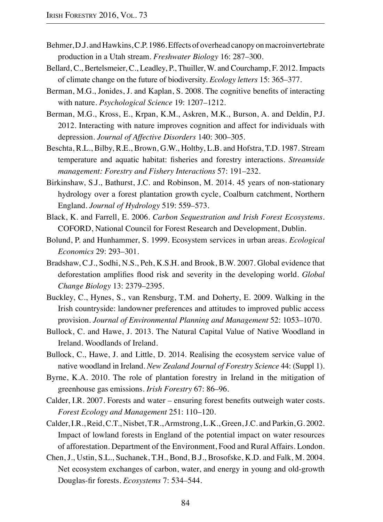- Behmer, D.J. and Hawkins, C.P. 1986. Effects of overhead canopy on macroinvertebrate production in a Utah stream. *Freshwater Biology* 16: 287–300.
- Bellard, C., Bertelsmeier, C., Leadley, P., Thuiller, W. and Courchamp, F. 2012. Impacts of climate change on the future of biodiversity. *Ecology letters* 15: 365–377.
- Berman, M.G., Jonides, J. and Kaplan, S. 2008. The cognitive benefits of interacting with nature. *Psychological Science* 19: 1207–1212.
- Berman, M.G., Kross, E., Krpan, K.M., Askren, M.K., Burson, A. and Deldin, P.J. 2012. Interacting with nature improves cognition and affect for individuals with depression. *Journal of Affective Disorders* 140: 300–305.
- Beschta, R.L., Bilby, R.E., Brown, G.W., Holtby, L.B. and Hofstra, T.D. 1987. Stream temperature and aquatic habitat: fisheries and forestry interactions. *Streamside management: Forestry and Fishery Interactions* 57: 191–232.
- Birkinshaw, S.J., Bathurst, J.C. and Robinson, M. 2014. 45 years of non-stationary hydrology over a forest plantation growth cycle, Coalburn catchment, Northern England. *Journal of Hydrology* 519: 559–573.
- Black, K. and Farrell, E. 2006. *Carbon Sequestration and Irish Forest Ecosystems*. COFORD, National Council for Forest Research and Development, Dublin.
- Bolund, P. and Hunhammer, S. 1999. Ecosystem services in urban areas. *Ecological Economics* 29: 293–301.
- Bradshaw, C.J., Sodhi, N.S., Peh, K.S.H. and Brook, B.W. 2007. Global evidence that deforestation amplifies flood risk and severity in the developing world. *Global Change Biology* 13: 2379–2395.
- Buckley, C., Hynes, S., van Rensburg, T.M. and Doherty, E. 2009. Walking in the Irish countryside: landowner preferences and attitudes to improved public access provision. *Journal of Environmental Planning and Management* 52: 1053–1070.
- Bullock, C. and Hawe, J. 2013. The Natural Capital Value of Native Woodland in Ireland. Woodlands of Ireland.
- Bullock, C., Hawe, J. and Little, D. 2014. Realising the ecosystem service value of native woodland in Ireland. *New Zealand Journal of Forestry Science* 44: (Suppl 1).
- Byrne, K.A. 2010. The role of plantation forestry in Ireland in the mitigation of greenhouse gas emissions. *Irish Forestry* 67: 86–96.
- Calder, I.R. 2007. Forests and water ensuring forest benefits outweigh water costs. *Forest Ecology and Management* 251: 110–120.
- Calder, I.R., Reid, C.T., Nisbet, T.R., Armstrong, L.K., Green, J.C. and Parkin, G. 2002. Impact of lowland forests in England of the potential impact on water resources of afforestation. Department of the Environment, Food and Rural Affairs. London.
- Chen, J., Ustin, S.L., Suchanek, T.H., Bond, B.J., Brosofske, K.D. and Falk, M. 2004. Net ecosystem exchanges of carbon, water, and energy in young and old-growth Douglas-fir forests. *Ecosystems* 7: 534–544.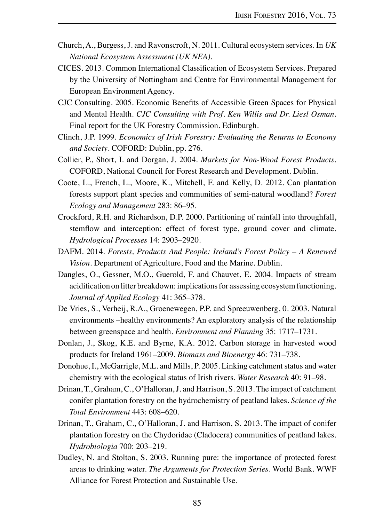- Church, A., Burgess, J. and Ravonscroft, N. 2011. Cultural ecosystem services. In *UK National Ecosystem Assessment (UK NEA)*.
- CICES. 2013. Common International Classification of Ecosystem Services. Prepared by the University of Nottingham and Centre for Environmental Management for European Environment Agency.
- CJC Consulting. 2005. Economic Benefits of Accessible Green Spaces for Physical and Mental Health. *CJC Consulting with Prof. Ken Willis and Dr. Liesl Osman*. Final report for the UK Forestry Commission. Edinburgh.
- Clinch, J.P. 1999. *Economics of Irish Forestry: Evaluating the Returns to Economy and Society*. COFORD: Dublin, pp. 276.
- Collier, P., Short, I. and Dorgan, J. 2004. *Markets for Non-Wood Forest Products*. COFORD, National Council for Forest Research and Development. Dublin.
- Coote, L., French, L., Moore, K., Mitchell, F. and Kelly, D. 2012. Can plantation forests support plant species and communities of semi-natural woodland? *Forest Ecology and Management* 283: 86–95.
- Crockford, R.H. and Richardson, D.P. 2000. Partitioning of rainfall into throughfall, stemflow and interception: effect of forest type, ground cover and climate. *Hydrological Processes* 14: 2903–2920.
- DAFM. 2014. *Forests, Products And People: Ireland's Forest Policy A Renewed Vision*. Department of Agriculture, Food and the Marine. Dublin.
- Dangles, O., Gessner, M.O., Guerold, F. and Chauvet, E. 2004. Impacts of stream acidification on litter breakdown: implications for assessing ecosystem functioning. *Journal of Applied Ecology* 41: 365–378.
- De Vries, S., Verheij, R.A., Groenewegen, P.P. and Spreeuwenberg, 0. 2003. Natural environments –healthy environments? An exploratory analysis of the relationship between greenspace and health. *Environment and Planning* 35: 1717–1731.
- Donlan, J., Skog, K.E. and Byrne, K.A. 2012. Carbon storage in harvested wood products for Ireland 1961–2009. *Biomass and Bioenergy* 46: 731–738.
- Donohue, I., McGarrigle, M.L. and Mills, P. 2005. Linking catchment status and water chemistry with the ecological status of Irish rivers. *Water Research* 40: 91–98.
- Drinan, T., Graham, C., O'Halloran, J. and Harrison, S. 2013. The impact of catchment conifer plantation forestry on the hydrochemistry of peatland lakes. *Science of the Total Environment* 443: 608–620.
- Drinan, T., Graham, C., O'Halloran, J. and Harrison, S. 2013. The impact of conifer plantation forestry on the Chydoridae (Cladocera) communities of peatland lakes. *Hydrobiologia* 700: 203–219.
- Dudley, N. and Stolton, S. 2003. Running pure: the importance of protected forest areas to drinking water. *The Arguments for Protection Series*. World Bank. WWF Alliance for Forest Protection and Sustainable Use.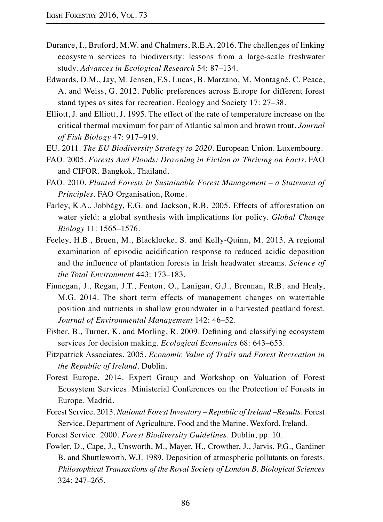- Durance, I., Bruford, M.W. and Chalmers, R.E.A. 2016. The challenges of linking ecosystem services to biodiversity: lessons from a large-scale freshwater study. *Advances in Ecological Research* 54: 87–134.
- Edwards, D.M., Jay, M. Jensen, F.S. Lucas, B. Marzano, M. Montagné, C. Peace, A. and Weiss, G. 2012. Public preferences across Europe for different forest stand types as sites for recreation. Ecology and Society 17: 27–38.
- Elliott, J. and Elliott, J. 1995. The effect of the rate of temperature increase on the critical thermal maximum for parr of Atlantic salmon and brown trout. *Journal of Fish Biology* 47: 917–919.
- EU. 2011. *The EU Biodiversity Strategy to 2020*. European Union. Luxembourg.
- FAO. 2005. *Forests And Floods: Drowning in Fiction or Thriving on Facts*. FAO and CIFOR. Bangkok, Thailand.
- FAO. 2010. *Planted Forests in Sustainable Forest Management a Statement of Principles*. FAO Organisation, Rome.
- Farley, K.A., Jobbágy, E.G. and Jackson, R.B. 2005. Effects of afforestation on water yield: a global synthesis with implications for policy. *Global Change Biology* 11: 1565–1576.
- Feeley, H.B., Bruen, M., Blacklocke, S. and Kelly-Quinn, M. 2013. A regional examination of episodic acidification response to reduced acidic deposition and the influence of plantation forests in Irish headwater streams. *Science of the Total Environment* 443: 173–183.
- Finnegan, J., Regan, J.T., Fenton, O., Lanigan, G.J., Brennan, R.B. and Healy, M.G. 2014. The short term effects of management changes on watertable position and nutrients in shallow groundwater in a harvested peatland forest. *Journal of Environmental Management* 142: 46–52.
- Fisher, B., Turner, K. and Morling, R. 2009. Defining and classifying ecosystem services for decision making. *Ecological Economics* 68: 643–653.
- Fitzpatrick Associates. 2005. *Economic Value of Trails and Forest Recreation in the Republic of Ireland*. Dublin.
- Forest Europe. 2014. Expert Group and Workshop on Valuation of Forest Ecosystem Services. Ministerial Conferences on the Protection of Forests in Europe. Madrid.
- Forest Service. 2013. *National Forest Inventory Republic of Ireland –Results*. Forest Service, Department of Agriculture, Food and the Marine. Wexford, Ireland.
- Forest Service. 2000. *Forest Biodiversity Guidelines*. Dublin, pp. 10.
- Fowler, D., Cape, J., Unsworth, M., Mayer, H., Crowther, J., Jarvis, P.G., Gardiner B. and Shuttleworth, W.J. 1989. Deposition of atmospheric pollutants on forests. *Philosophical Transactions of the Royal Society of London B, Biological Sciences* 324: 247–265.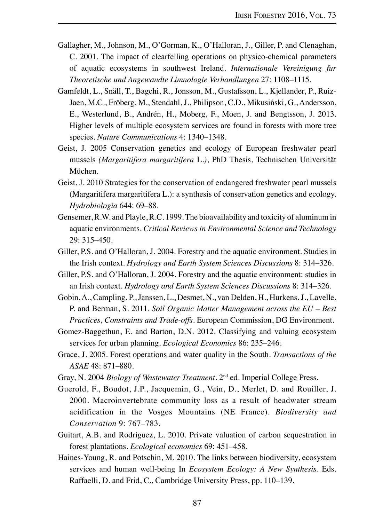- Gallagher, M., Johnson, M., O'Gorman, K., O'Halloran, J., Giller, P. and Clenaghan, C. 2001. The impact of clearfelling operations on physico-chemical parameters of aquatic ecosystems in southwest Ireland. *Internationale Vereinigung fur Theoretische und Angewandte Limnologie Verhandlungen* 27: 1108–1115.
- Gamfeldt, L., Snäll, T., Bagchi, R., Jonsson, M., Gustafsson, L., Kjellander, P., Ruiz-Jaen, M.C., Fröberg, M., Stendahl, J., Philipson, C.D., Mikusiński, G., Andersson, E., Westerlund, B., Andrén, H., Moberg, F., Moen, J. and Bengtsson, J. 2013. Higher levels of multiple ecosystem services are found in forests with more tree species. *Nature Communications* 4: 1340–1348.
- Geist, J. 2005 Conservation genetics and ecology of European freshwater pearl mussels *(Margaritifera margaritifera* L.*)*, PhD Thesis, Technischen Universität Müchen.
- Geist, J. 2010 Strategies for the conservation of endangered freshwater pearl mussels (Margaritifera margaritifera L.): a synthesis of conservation genetics and ecology. *Hydrobiologia* 644: 69–88.
- Gensemer, R.W. and Playle, R.C. 1999. The bioavailability and toxicity of aluminum in aquatic environments. *Critical Reviews in Environmental Science and Technology* 29: 315–450.
- Giller, P.S. and O'Halloran, J. 2004. Forestry and the aquatic environment. Studies in the Irish context. *Hydrology and Earth System Sciences Discussions* 8: 314–326.
- Giller, P.S. and O'Halloran, J. 2004. Forestry and the aquatic environment: studies in an Irish context. *Hydrology and Earth System Sciences Discussions* 8: 314–326.
- Gobin, A., Campling, P., Janssen, L., Desmet, N., van Delden, H., Hurkens, J., Lavelle, P. and Berman, S. 2011. *Soil Organic Matter Management across the EU – Best Practices, Constraints and Trade-offs*. European Commission, DG Environment.
- Gomez-Baggethun, E. and Barton, D.N. 2012. Classifying and valuing ecosystem services for urban planning. *Ecological Economics* 86: 235–246.
- Grace, J. 2005. Forest operations and water quality in the South. *Transactions of the ASAE* 48: 871–880.
- Gray, N. 2004 *Biology of Wastewater Treatment*. 2nd ed. Imperial College Press.
- Guerold, F., Boudot, J.P., Jacquemin, G., Vein, D., Merlet, D. and Rouiller, J. 2000. Macroinvertebrate community loss as a result of headwater stream acidification in the Vosges Mountains (NE France). *Biodiversity and Conservation* 9: 767–783.
- Guitart, A.B. and Rodriguez, L. 2010. Private valuation of carbon sequestration in forest plantations. *Ecological economics* 69: 451–458.
- Haines-Young, R. and Potschin, M. 2010. The links between biodiversity, ecosystem services and human well-being In *Ecosystem Ecology: A New Synthesis.* Eds. Raffaelli, D. and Frid, C., Cambridge University Press, pp. 110–139.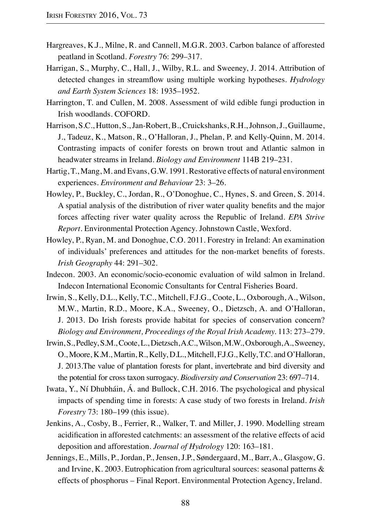- Hargreaves, K.J., Milne, R. and Cannell, M.G.R. 2003. Carbon balance of afforested peatland in Scotland. *Forestry* 76: 299–317.
- Harrigan, S., Murphy, C., Hall, J., Wilby, R.L. and Sweeney, J. 2014. Attribution of detected changes in streamflow using multiple working hypotheses. *Hydrology and Earth System Sciences* 18: 1935–1952.
- Harrington, T. and Cullen, M. 2008. Assessment of wild edible fungi production in Irish woodlands. COFORD.
- Harrison, S.C., Hutton, S., Jan-Robert, B., Cruickshanks, R.H., Johnson, J., Guillaume, J., Tadeuz, K., Matson, R., O'Halloran, J., Phelan, P. and Kelly-Quinn, M. 2014. Contrasting impacts of conifer forests on brown trout and Atlantic salmon in headwater streams in Ireland. *Biology and Environment* 114B 219–231.
- Hartig, T., Mang, M. and Evans, G.W. 1991. Restorative effects of natural environment experiences. *Environment and Behaviour* 23: 3–26.
- Howley, P., Buckley, C., Jordan, R., O'Donoghue, C., Hynes, S. and Green, S. 2014. A spatial analysis of the distribution of river water quality benefits and the major forces affecting river water quality across the Republic of Ireland. *EPA Strive Report*. Environmental Protection Agency. Johnstown Castle, Wexford.
- Howley, P., Ryan, M. and Donoghue, C.O. 2011. Forestry in Ireland: An examination of individuals' preferences and attitudes for the non-market benefits of forests. *Irish Geography* 44: 291–302.
- Indecon. 2003. An economic/socio-economic evaluation of wild salmon in Ireland. Indecon International Economic Consultants for Central Fisheries Board.
- Irwin, S., Kelly, D.L., Kelly, T.C., Mitchell, F.J.G., Coote, L., Oxborough, A., Wilson, M.W., Martin, R.D., Moore, K.A., Sweeney, O., Dietzsch, A. and O'Halloran, J. 2013. Do Irish forests provide habitat for species of conservation concern? *Biology and Environment, Proceedings of the Royal Irish Academy.* 113: 273–279.
- Irwin, S., Pedley, S.M., Coote, L., Dietzsch, A.C., Wilson, M.W., Oxborough, A., Sweeney, O., Moore, K.M., Martin, R., Kelly, D.L., Mitchell, F.J.G., Kelly, T.C. and O'Halloran, J. 2013.The value of plantation forests for plant, invertebrate and bird diversity and the potential for cross taxon surrogacy. *Biodiversity and Conservation* 23: 697–714.
- Iwata, Y., Ní Dhubháin, Á. and Bullock, C.H. 2016. The psychological and physical impacts of spending time in forests: A case study of two forests in Ireland. *Irish Forestry* 73: 180–199 (this issue).
- Jenkins, A., Cosby, B., Ferrier, R., Walker, T. and Miller, J. 1990. Modelling stream acidification in afforested catchments: an assessment of the relative effects of acid deposition and afforestation. *Journal of Hydrology* 120: 163–181.
- Jennings, E., Mills, P., Jordan, P., Jensen, J.P., Søndergaard, M., Barr, A.*,* Glasgow, G. and Irvine, K. 2003. Eutrophication from agricultural sources: seasonal patterns & effects of phosphorus – Final Report. Environmental Protection Agency, Ireland.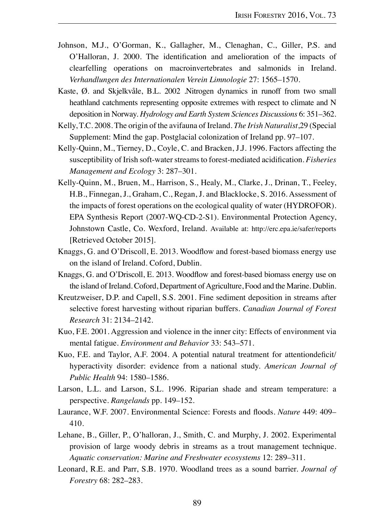- Johnson, M.J., O'Gorman, K., Gallagher, M., Clenaghan, C., Giller, P.S. and O'Halloran, J. 2000. The identification and amelioration of the impacts of clearfelling operations on macroinvertebrates and salmonids in Ireland. *Verhandlungen des Internationalen Verein Limnologie* 27: 1565–1570.
- Kaste, Ø. and Skjelkvåle, B.L. 2002 .Nitrogen dynamics in runoff from two small heathland catchments representing opposite extremes with respect to climate and N deposition in Norway. *Hydrology and Earth System Sciences Discussions* 6: 351–362.
- Kelly, T.C. 2008. The origin of the avifauna of Ireland. *The Irish Naturalist*,29 (Special Supplement: Mind the gap. Postglacial colonization of Ireland pp. 97–107.
- Kelly-Quinn, M., Tierney, D., Coyle, C. and Bracken, J.J. 1996. Factors affecting the susceptibility of Irish soft-water streams to forest-mediated acidification. *Fisheries Management and Ecology* 3: 287–301.
- Kelly-Quinn, M., Bruen, M., Harrison, S., Healy, M., Clarke, J., Drinan, T., Feeley, H.B., Finnegan, J., Graham, C., Regan, J. and Blacklocke, S. 2016. Assessment of the impacts of forest operations on the ecological quality of water (HYDROFOR). EPA Synthesis Report (2007-WQ-CD-2-S1). Environmental Protection Agency, Johnstown Castle, Co. Wexford, Ireland. Available at: http://erc.epa.ie/safer/reports [Retrieved October 2015].
- Knaggs, G. and O'Driscoll, E. 2013. Woodflow and forest-based biomass energy use on the island of Ireland. Coford, Dublin.
- Knaggs, G. and O'Driscoll, E. 2013. Woodflow and forest-based biomass energy use on the island of Ireland. Coford, Department of Agriculture, Food and the Marine. Dublin.
- Kreutzweiser, D.P. and Capell, S.S. 2001. Fine sediment deposition in streams after selective forest harvesting without riparian buffers. *Canadian Journal of Forest Research* 31: 2134–2142.
- Kuo, F.E. 2001. Aggression and violence in the inner city: Effects of environment via mental fatigue. *Environment and Behavior* 33: 543–571.
- Kuo, F.E. and Taylor, A.F. 2004. A potential natural treatment for attentiondeficit/ hyperactivity disorder: evidence from a national study. *American Journal of Public Health* 94: 1580–1586.
- Larson, L.L. and Larson, S.L. 1996. Riparian shade and stream temperature: a perspective. *Rangelands* pp. 149–152.
- Laurance, W.F. 2007. Environmental Science: Forests and floods. *Nature* 449: 409– 410.
- Lehane, B., Giller, P., O'halloran, J., Smith, C. and Murphy, J. 2002. Experimental provision of large woody debris in streams as a trout management technique. *Aquatic conservation: Marine and Freshwater ecosystems* 12: 289–311.
- Leonard, R.E. and Parr, S.B. 1970. Woodland trees as a sound barrier. *Journal of Forestry* 68: 282–283.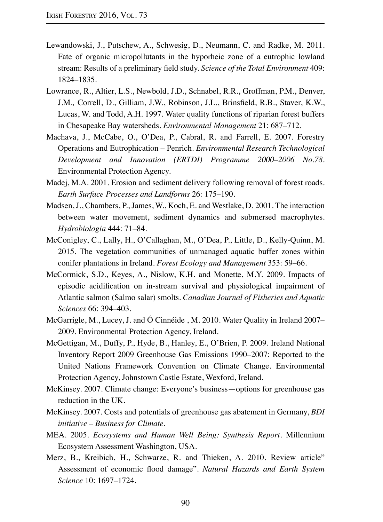- Lewandowski, J., Putschew, A., Schwesig, D., Neumann, C. and Radke, M. 2011. Fate of organic micropollutants in the hyporheic zone of a eutrophic lowland stream: Results of a preliminary field study. *Science of the Total Environment* 409: 1824–1835.
- Lowrance, R., Altier, L.S., Newbold, J.D., Schnabel, R.R., Groffman, P.M., Denver, J.M.*,* Correll, D., Gilliam, J.W., Robinson, J.L., Brinsfield, R.B., Staver, K.W., Lucas, W. and Todd, A.H. 1997. Water quality functions of riparian forest buffers in Chesapeake Bay watersheds. *Environmental Management* 21: 687–712.
- Machava, J., McCabe, O., O'Dea, P., Cabral, R. and Farrell, E. 2007. Forestry Operations and Eutrophication – Penrich. *Environmental Research Technological Development and Innovation (ERTDI) Programme 2000–2006 No.78*. Environmental Protection Agency.
- Madej, M.A. 2001. Erosion and sediment delivery following removal of forest roads. *Earth Surface Processes and Landforms* 26: 175–190.
- Madsen, J., Chambers, P., James, W., Koch, E. and Westlake, D. 2001. The interaction between water movement, sediment dynamics and submersed macrophytes. *Hydrobiologia* 444: 71–84.
- McConigley, C., Lally, H., O'Callaghan, M., O'Dea, P., Little, D., Kelly-Quinn, M. 2015. The vegetation communities of unmanaged aquatic buffer zones within conifer plantations in Ireland. *Forest Ecology and Management* 353: 59–66.
- McCormick, S.D., Keyes, A., Nislow, K.H. and Monette, M.Y. 2009. Impacts of episodic acidification on in-stream survival and physiological impairment of Atlantic salmon (Salmo salar) smolts. *Canadian Journal of Fisheries and Aquatic Sciences* 66: 394–403.
- McGarrigle, M., Lucey, J. and Ó Cinnéide , M. 2010. Water Quality in Ireland 2007– 2009. Environmental Protection Agency, Ireland.
- McGettigan, M., Duffy, P., Hyde, B., Hanley, E., O'Brien, P. 2009. Ireland National Inventory Report 2009 Greenhouse Gas Emissions 1990–2007: Reported to the United Nations Framework Convention on Climate Change. Environmental Protection Agency, Johnstown Castle Estate, Wexford, Ireland.
- McKinsey. 2007. Climate change: Everyone's business—options for greenhouse gas reduction in the UK.
- McKinsey. 2007. Costs and potentials of greenhouse gas abatement in Germany, *BDI initiative – Business for Climate*.
- MEA. 2005. *Ecosystems and Human Well Being: Synthesis Report*. Millennium Ecosystem Assessment Washington, USA.
- Merz, B., Kreibich, H., Schwarze, R. and Thieken, A. 2010. Review article" Assessment of economic flood damage". *Natural Hazards and Earth System Science* 10: 1697–1724.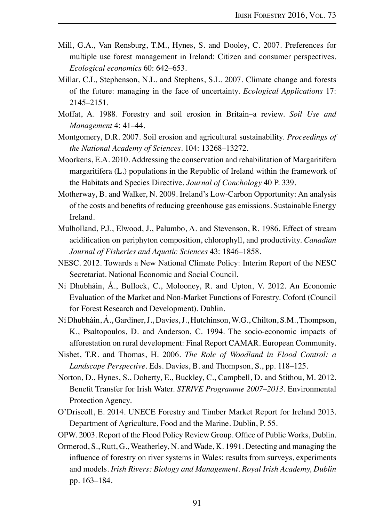- Mill, G.A., Van Rensburg, T.M., Hynes, S. and Dooley, C. 2007. Preferences for multiple use forest management in Ireland: Citizen and consumer perspectives. *Ecological economics* 60: 642–653.
- Millar, C.I., Stephenson, N.L. and Stephens, S.L. 2007. Climate change and forests of the future: managing in the face of uncertainty. *Ecological Applications* 17: 2145–2151.
- Moffat, A. 1988. Forestry and soil erosion in Britain–a review. *Soil Use and Management* 4: 41–44.
- Montgomery, D.R. 2007. Soil erosion and agricultural sustainability. *Proceedings of the National Academy of Sciences.* 104: 13268–13272.
- Moorkens, E.A. 2010. Addressing the conservation and rehabilitation of Margaritifera margaritifera (L.) populations in the Republic of Ireland within the framework of the Habitats and Species Directive. *Journal of Conchology* 40 P. 339.
- Motherway, B. and Walker, N. 2009. Ireland's Low-Carbon Opportunity: An analysis of the costs and benefits of reducing greenhouse gas emissions. Sustainable Energy Ireland.
- Mulholland, P.J., Elwood, J., Palumbo, A. and Stevenson, R. 1986. Effect of stream acidification on periphyton composition, chlorophyll, and productivity. *Canadian Journal of Fisheries and Aquatic Sciences* 43: 1846–1858.
- NESC. 2012. Towards a New National Climate Policy: Interim Report of the NESC Secretariat. National Economic and Social Council.
- Ní Dhubháin, Á., Bullock, C., Molooney, R. and Upton, V. 2012. An Economic Evaluation of the Market and Non-Market Functions of Forestry. Coford (Council for Forest Research and Development). Dublin.
- Ní Dhubháin, Á., Gardiner, J., Davies, J., Hutchinson, W.G., Chilton, S.M., Thompson, K., Psaltopoulos, D. and Anderson, C*.* 1994. The socio-economic impacts of afforestation on rural development: Final Report CAMAR. European Community.
- Nisbet, T.R. and Thomas, H. 2006. *The Role of Woodland in Flood Control: a Landscape Perspective.* Eds. Davies, B. and Thompson, S., pp. 118–125.
- Norton, D., Hynes, S., Doherty, E., Buckley, C., Campbell, D. and Stithou, M. 2012. Benefit Transfer for Irish Water. *STRIVE Programme 2007–2013*. Environmental Protection Agency.
- O'Driscoll, E. 2014. UNECE Forestry and Timber Market Report for Ireland 2013. Department of Agriculture, Food and the Marine. Dublin, P. 55.
- OPW. 2003. Report of the Flood Policy Review Group. Office of Public Works, Dublin.
- Ormerod, S., Rutt, G., Weatherley, N. and Wade, K. 1991. Detecting and managing the influence of forestry on river systems in Wales: results from surveys, experiments and models. *Irish Rivers: Biology and Management. Royal Irish Academy, Dublin* pp. 163–184.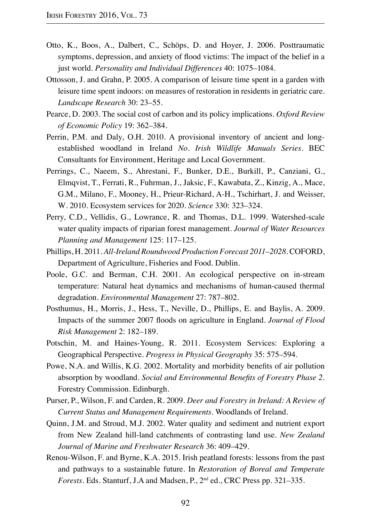- Otto, K., Boos, A., Dalbert, C., Schöps, D. and Hoyer, J. 2006. Posttraumatic symptoms, depression, and anxiety of flood victims: The impact of the belief in a just world. *Personality and Individual Differences* 40: 1075–1084.
- Ottosson, J. and Grahn, P. 2005. A comparison of leisure time spent in a garden with leisure time spent indoors: on measures of restoration in residents in geriatric care. *Landscape Research* 30: 23–55.
- Pearce, D. 2003. The social cost of carbon and its policy implications. *Oxford Review of Economic Policy* 19: 362–384.
- Perrin, P.M. and Daly, O.H. 2010. A provisional inventory of ancient and longestablished woodland in Ireland *No. Irish Wildlife Manuals Series*. BEC Consultants for Environment, Heritage and Local Government.
- Perrings, C., Naeem, S., Ahrestani, F., Bunker, D.E., Burkill, P., Canziani, G., Elmqvist, T., Ferrati, R., Fuhrman, J., Jaksic, F., Kawabata, Z., Kinzig, A., Mace, G.M., Milano, F., Mooney, H., Prieur-Richard, A-H., Tschirhart, J. and Weisser, W*.* 2010. Ecosystem services for 2020. *Science* 330: 323–324.
- Perry, C.D., Vellidis, G., Lowrance, R. and Thomas, D.L. 1999. Watershed-scale water quality impacts of riparian forest management. *Journal of Water Resources Planning and Management* 125: 117–125.
- Phillips, H. 2011. *All-Ireland Roundwood Production Forecast 2011–2028*. COFORD, Department of Agriculture, Fisheries and Food. Dublin.
- Poole, G.C. and Berman, C.H. 2001. An ecological perspective on in-stream temperature: Natural heat dynamics and mechanisms of human-caused thermal degradation. *Environmental Management* 27: 787–802.
- Posthumus, H., Morris, J., Hess, T., Neville, D., Phillips, E. and Baylis, A. 2009. Impacts of the summer 2007 floods on agriculture in England. *Journal of Flood Risk Management* 2: 182–189.
- Potschin, M. and Haines-Young, R. 2011. Ecosystem Services: Exploring a Geographical Perspective. *Progress in Physical Geography* 35: 575–594.
- Powe, N.A. and Willis, K.G. 2002. Mortality and morbidity benefits of air pollution absorption by woodland. *Social and Environmental Benefits of Forestry Phase 2*. Forestry Commission. Edinburgh.
- Purser, P., Wilson, F. and Carden, R. 2009. *Deer and Forestry in Ireland: A Review of Current Status and Management Requirements*. Woodlands of Ireland.
- Quinn, J.M. and Stroud, M.J. 2002. Water quality and sediment and nutrient export from New Zealand hill-land catchments of contrasting land use. *New Zealand Journal of Marine and Freshwater Research* 36: 409–429.
- Renou-Wilson, F. and Byrne, K.A. 2015. Irish peatland forests: lessons from the past and pathways to a sustainable future. In *Restoration of Boreal and Temperate Forests.* Eds. Stanturf, J.A and Madsen, P., 2nd ed., CRC Press pp. 321–335.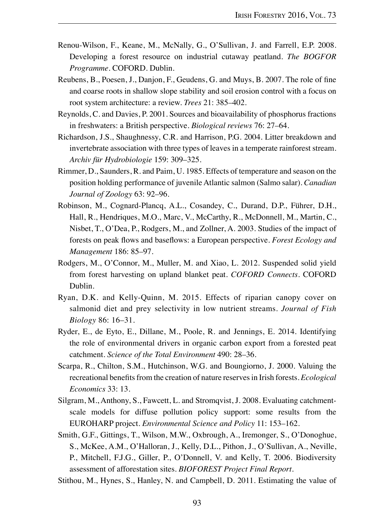- Renou-Wilson, F., Keane, M., McNally, G., O'Sullivan, J. and Farrell, E.P. 2008. Developing a forest resource on industrial cutaway peatland. *The BOGFOR Programme*. COFORD. Dublin.
- Reubens, B., Poesen, J., Danjon, F., Geudens, G. and Muys, B. 2007. The role of fine and coarse roots in shallow slope stability and soil erosion control with a focus on root system architecture: a review. *Trees* 21: 385–402.
- Reynolds, C. and Davies, P. 2001. Sources and bioavailability of phosphorus fractions in freshwaters: a British perspective. *Biological reviews* 76: 27–64.
- Richardson, J.S., Shaughnessy, C.R. and Harrison, P.G. 2004. Litter breakdown and invertebrate association with three types of leaves in a temperate rainforest stream. *Archiv für Hydrobiologie* 159: 309–325.
- Rimmer, D., Saunders, R. and Paim, U. 1985. Effects of temperature and season on the position holding performance of juvenile Atlantic salmon (Salmo salar). *Canadian Journal of Zoology* 63: 92–96.
- Robinson, M., Cognard-Plancq, A.L., Cosandey, C., Durand, D.P., Führer, D.H., Hall, R., Hendriques, M.O., Marc, V., McCarthy, R., McDonnell, M., Martin, C., Nisbet, T., O'Dea, P., Rodgers, M., and Zollner, A. 2003. Studies of the impact of forests on peak flows and baseflows: a European perspective. *Forest Ecology and Management* 186: 85–97.
- Rodgers, M., O'Connor, M., Muller, M. and Xiao, L. 2012. Suspended solid yield from forest harvesting on upland blanket peat. *COFORD Connects*. COFORD Dublin.
- Ryan, D.K. and Kelly-Quinn, M. 2015. Effects of riparian canopy cover on salmonid diet and prey selectivity in low nutrient streams. *Journal of Fish Biology* 86: 16–31.
- Ryder, E., de Eyto, E., Dillane, M., Poole, R. and Jennings, E. 2014. Identifying the role of environmental drivers in organic carbon export from a forested peat catchment. *Science of the Total Environment* 490: 28–36.
- Scarpa, R., Chilton, S.M., Hutchinson, W.G. and Boungiorno, J. 2000. Valuing the recreational benefits from the creation of nature reserves in Irish forests. *Ecological Economics* 33: 13.
- Silgram, M., Anthony, S., Fawcett, L. and Stromqvist, J. 2008. Evaluating catchmentscale models for diffuse pollution policy support: some results from the EUROHARP project. *Environmental Science and Policy* 11: 153–162.
- Smith, G.F., Gittings, T., Wilson, M.W., Oxbrough, A., Iremonger, S., O'Donoghue, S., McKee, A.M., O'Halloran, J., Kelly, D.L., Pithon, J., O'Sullivan, A., Neville, P., Mitchell, F.J.G., Giller, P., O'Donnell, V. and Kelly, T. 2006. Biodiversity assessment of afforestation sites. *BIOFOREST Project Final Report*.
- Stithou, M., Hynes, S., Hanley, N. and Campbell, D. 2011. Estimating the value of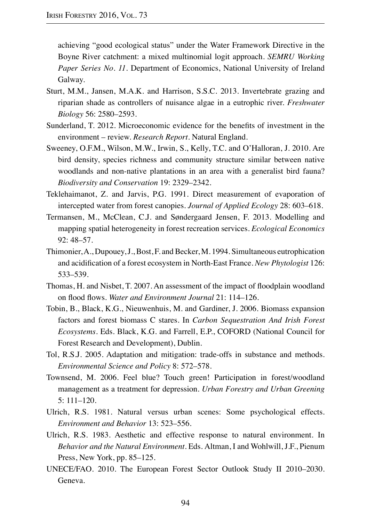achieving "good ecological status" under the Water Framework Directive in the Boyne River catchment: a mixed multinomial logit approach. *SEMRU Working Paper Series No. 11*. Department of Economics, National University of Ireland Galway.

- Sturt, M.M., Jansen, M.A.K. and Harrison, S.S.C. 2013. Invertebrate grazing and riparian shade as controllers of nuisance algae in a eutrophic river. *Freshwater Biology* 56: 2580–2593.
- Sunderland, T. 2012. Microeconomic evidence for the benefits of investment in the environment – review. *Research Report*. Natural England.
- Sweeney, O.F.M., Wilson, M.W., Irwin, S., Kelly, T.C. and O'Halloran, J. 2010. Are bird density, species richness and community structure similar between native woodlands and non-native plantations in an area with a generalist bird fauna? *Biodiversity and Conservation* 19: 2329–2342.
- Teklehaimanot, Z. and Jarvis, P.G. 1991. Direct measurement of evaporation of intercepted water from forest canopies. *Journal of Applied Ecology* 28: 603–618.
- Termansen, M., McClean, C.J. and Søndergaard Jensen, F. 2013. Modelling and mapping spatial heterogeneity in forest recreation services. *Ecological Economics* 92: 48–57.
- Thimonier, A., Dupouey, J., Bost, F. and Becker, M. 1994. Simultaneous eutrophication and acidification of a forest ecosystem in North-East France. *New Phytologist* 126: 533–539.
- Thomas, H. and Nisbet, T. 2007. An assessment of the impact of floodplain woodland on flood flows. *Water and Environment Journal* 21: 114–126.
- Tobin, B., Black, K.G., Nieuwenhuis, M. and Gardiner, J. 2006. Biomass expansion factors and forest biomass C stares. In *Carbon Sequestration And Irish Forest Ecosystems.* Eds. Black, K.G. and Farrell, E.P., COFORD (National Council for Forest Research and Development), Dublin.
- Tol, R.S.J. 2005. Adaptation and mitigation: trade-offs in substance and methods. *Environmental Science and Policy* 8: 572–578.
- Townsend, M. 2006. Feel blue? Touch green! Participation in forest/woodland management as a treatment for depression. *Urban Forestry and Urban Greening* 5: 111–120.
- Ulrich, R.S. 1981. Natural versus urban scenes: Some psychological effects. *Environment and Behavior* 13: 523–556.
- Ulrich, R.S. 1983. Aesthetic and effective response to natural environment. In *Behavior and the Natural Environment.* Eds*.* Altman, I and Wohlwill, J.F., Pienum Press, New York, pp. 85–125.
- UNECE/FAO. 2010. The European Forest Sector Outlook Study II 2010–2030. Geneva.